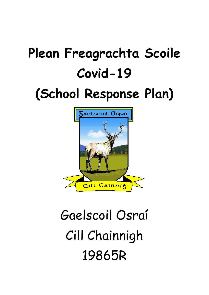# **Plean Freagrachta Scoile Covid-19**

# **(School Response Plan)**



# Gaelscoil Osraí Cill Chainnigh 19865R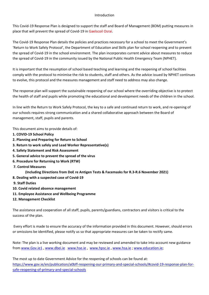#### Introduction

This Covid-19 Response Plan is designed to support the staff and Board of Management (BOM) putting measures in

place that will prevent the spread of Covid-19 in Gaelscoil Osraí.<br>The Covid-19 Response Plan details the policies and practices necessary for a school to meet the Government's 'Return to Work Safely Protocol', the Department of Education and Skills plan for school reopening and to prevent the spread of Covid-19 in the school environment. The plan incorporates current advice about measures to reduce the spread of Covid-19 in the community issued by the National Public Health Emergency Team (NPHET).

It is important that the resumption of school based teaching and learning and the reopening of school facilities comply with the protocol to minimise the risk to students, staff and others. As the advice issued by NPHET continues to evolve, this protocol and the measures management and staff need to address may also change.

The response plan will support the sustainable reopening of our school where the overriding objective is to protect the health of staff and pupils while promoting the educational and development needs of the children in the school.

In line with the Return to Work Safely Protocol, the key to a safe and continued return to work, and re-opening of our schools requires strong communication and a shared collaborative approach between the Board of management, staff, pupils and parents.

This document aims to provide details of:

- **1. COVID-19 School Policy**
- **2. Planning and Preparing for Return to School**
- **3. Return to work safely and Lead Worker Representative(s)**
- **4. Safety Statement and Risk Assessment**
- **5. General advice to prevent the spread of the virus**
- **6. Procedure for Returning to Work (RTW)**
- **7. Control Measures**

**(Including Directions from DoE re Antigen Tests & Facemasks for R.3-R.6 November 2021)**

- **8. Dealing with a suspected case of Covid-19**
- **9. Staff Duties**
- **10. Covid related absence management**
- **11. Employee Assistance and Wellbeing Programme**
- **12. Management Checklist**

The assistance and cooperation of all staff, pupils, parents/guardians, contractors and visitors is critical to the success of the plan.

 Every effort is made to ensure the accuracy of the information provided in this document. However, should errors or omissions be identified, please notify us so that appropriate measures can be taken to rectify same.

Note: The plan is a live working document and may be reviewed and amended to take into account new guidance from [www.Gov.ie1](http://www.Gov.ie1) , [www.dbei.ie](http://www.dbei.ie) [www.hse.ie](http://www.hse.ie) , [www.hpsc.ie](http://www.hpsc.ie) , [www.hsa.ie](http://www.hsa.ie) ; [www.education.ie](http://www.education.ie);

The most up to date Government Advice for the reopening of schools can be found at: [https://www.gov.ie/en/publication/a0bff-reopening-our-primary-and-special-schools/#covid-19-response-plan-for](https://www.gov.ie/en/publication/a0bff-reopening-our-primary-and-special-schools/)[safe-reopening-of-primary-and-special-schools](https://www.gov.ie/en/publication/a0bff-reopening-our-primary-and-special-schools/)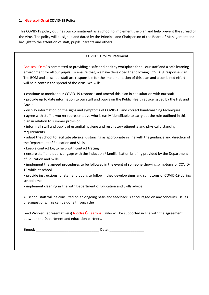#### **1. Gaelscoil Osraí COVID-19 Policy**

This COVID-19 policy outlines our commitment as a school to implement the plan and help prevent the spread of the virus. The policy will be signed and dated by the Principal and Chairperson of the Board of Management and brought to the attention of staff, pupils, parents and others.

#### COVID 19 Policy Statement

Gaelscoil Osraí is committed to providing a safe and healthy workplace for all our staff and a safe learning environment for all our pupils. To ensure that, we have developed the following COVID19 Response Plan. The BOM and all school staff are responsible for the implementation of this plan and a combined effort will help contain the spread of the virus. We will:

- continue to monitor our COVID-19 response and amend this plan in consultation with our staff
- provide up to date information to our staff and pupils on the Public Health advice issued by the HSE and Gov.ie
- display information on the signs and symptoms of COVID-19 and correct hand-washing techniques
- agree with staff, a worker representative who is easily identifiable to carry out the role outlined in this plan in relation to summer provision
- inform all staff and pupils of essential hygiene and respiratory etiquette and physical distancing requirements
- adapt the school to facilitate physical distancing as appropriate in line with the guidance and direction of the Department of Education and Skills
- $\bullet$  keep a contact log to help with contact tracing
- ensure staff and pupils engage with the induction / familiarisation briefing provided by the Department of Education and Skills
- implement the agreed procedures to be followed in the event of someone showing symptoms of COVID-19 while at school
- provide instructions for staff and pupils to follow if they develop signs and symptoms of COVID-19 during school time
- implement cleaning in line with Department of Education and Skills advice

All school staff will be consulted on an ongoing basis and feedback is encouraged on any concerns, issues or suggestions. This can be done through the

Lead Worker Representative(s) Nioclás Ó Cearbhaill who will be supported in line with the agreement between the Department and education partners.

Signed: \_\_\_\_\_\_\_\_\_\_\_\_\_\_\_\_\_\_\_\_\_\_\_\_\_\_\_\_\_\_\_\_\_ Date: \_\_\_\_\_\_\_\_\_\_\_\_\_\_\_\_\_\_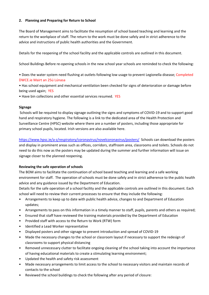#### **2. Planning and Preparing for Return to School**

The Board of Management aims to facilitate the resumption of school based teaching and learning and the return to the workplace of staff. The return to the work must be done safely and in strict adherence to the advice and instructions of public health authorities and the Government.

Details for the reopening of the school facility and the applicable controls are outlined in this document.

School Buildings Before re-opening schools in the new school year schools are reminded to check the following:

• Does the water system need flushing at outlets following low usage to prevent Legionella disease; Completed DWCE.ie Mairt an 25ú Lúnasa

• Has school equipment and mechanical ventilation been checked for signs of deterioration or damage before being used again; YES

• Have bin collections and other essential services resumed. YES

#### **Signage**

 Schools will be required to display signage outlining the signs and symptoms of COVID-19 and to support good hand and respiratory hygiene. The following is a link to the dedicated area of the Health Protection and Surveillance Centre (HPSC) website where there are a number of posters, including those appropriate for primary school pupils, located. Irish versions are also available here.

<https://www.hpsc.ie/a-z/respiratory/coronavirus/novelcoronavirus/posters/>Schools can download the posters and display in prominent areas such as offices, corridors, staffroom area, classrooms and toilets. Schools do not need to do this now as the posters may be updated during the summer and further information will issue on signage closer to the planned reopening.

#### **Reviewing the safe operation of schools**

The BOM aims to facilitate the continuation of school based teaching and learning and a safe working environment for staff. The operation of schools must be done safely and in strict adherence to the public health advice and any guidance issued by the Department of Education.

Details for the safe operation of a school facility and the applicable controls are outlined in this document. Each

- school will need to review their current processes to ensure that they include the following:<br>• Arrangements to keep up to date with public health advice, changes to and Department of Education updates;
- Arrangements to pass on this information in a timely manner to staff, pupils, parents and others as required;
- 
- 
- 
- 
- Ensured that staff have reviewed the training materials provided by the Department of Education<br>• Provided staff with access to the Return to Work (RTW) form<br>• Identified a Lead Worker representative<br>• Displayed posters
- classrooms to support physical distancing Removed unnecessary clutter to facilitate ongoing cleaning of the school taking into account the importance
- 
- of having educational materials to create a stimulating learning environment;<br>• Updated the health and safety risk assessment<br>• Made necessary arrangements to limit access to the school to necessary visitors and maintain r
- contacts to the school<br>• Reviewed the school buildings to check the following after any period of closure: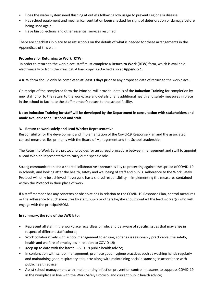- 
- Poes the water system need flushing at outlets following low usage to prevent Legionella disease;<br>Has school equipment and mechanical ventilation been checked for signs of deterioration or damage before being used again;<br>Have bin collections and other essential services resumed.
- 

There are checklists in place to assist schools on the details of what is needed for these arrangements in the Appendices of this plan.

#### **Procedure for Returning to Work (RTW)**

 In order to return to the workplace, staff must complete a **Return to Work (RTW)** form, which is available electronically or from the Principal. A hard copy is attached also at **Appendix 1.**

A RTW form should only be completed **at least 3 days prior** to any proposed date of return to the workplace.

On receipt of the completed form the Principal will provide: details of the **Induction Training** for completion by new staff prior to the return to the workplace and details of any additional health and safety measures in place in the school to facilitate the staff member's return to the school facility.

#### **Note: Induction Training for staff will be developed by the Department in consultation with stakeholders and made available for all schools and staff.**

#### **3. Return to work safely and Lead Worker Representative**

Responsibility for the development and implementation of the Covid-19 Response Plan and the associated control measures lies primarily with the Board of Management and the School Leadership.

The Return to Work Safely protocol provides for an agreed procedure between management and staff to appoint a Lead Worker Representative to carry out a specific role.

Strong communication and a shared collaborative approach is key to protecting against the spread of COVID-19 in schools, and looking after the health, safety and wellbeing of staff and pupils. Adherence to the Work Safely Protocol will only be achieved if everyone has a shared responsibility in implementing the measures contained within the Protocol in their place of work.

If a staff member has any concerns or observations in relation to the COVID-19 Response Plan, control measures or the adherence to such measures by staff, pupils or others he/she should contact the lead worker(s) who will engage with the principal/BOM.

#### **In summary, the role of the LWR is to:**

- Represent all staff in the workplace regardless of role, and be aware of specific issues that may arise in respect of different staff cohorts;
- Work collaboratively with school management to ensure, so far as is reasonably practicable, the safety, health and welfare of employees in relation to COVID-19;
- Keep up to date with the latest COVID-19 public health advice;
- In conjunction with school management, promote good hygiene practices such as washing hands regularly and maintaining good respiratory etiquette along with maintaining social distancing in accordance with public health advice;
- Assist school management with implementing infection prevention control measures to suppress COVID-19 in the workplace in line with the Work Safely Protocol and current public health advice;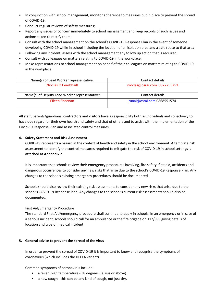- In conjunction with school management, monitor adherence to measures put in place to prevent the spread of COVID-19;
- 
- Conduct regular reviews of safety measures;<br>• Report any issues of concern immediately to school management and keep records of such issues and actions taken to rectify them;
- Consult with the school management on the school's COVID-19 Response Plan in the event of someone developing COVID-19 while in school including the location of an isolation area and a safe route to that area;
- Following any incident, assess with the school management any follow up action that is required;
- Consult with colleagues on matters relating to COVID-19 in the workplace;
- Make representations to school management on behalf of their colleagues on matters relating to COVID-19 in the workplace.

| Name(s) of Lead Worker representative:        | Contact details              |
|-----------------------------------------------|------------------------------|
| Nioclás Ó Cearbhaill                          | nioclas@osrai.com 0872255751 |
| Name(s) of Deputy Lead Worker representative: | Contact details              |
| Éileen Sheenan                                | runai@osrai.com 0868551574   |
|                                               |                              |

All staff, parents/guardians, contractors and visitors have a responsibility both as individuals and collectively to have due regard for their own health and safety and that of others and to assist with the implementation of the Covid-19 Response Plan and associated control measures.

#### **4. Safety Statement and Risk Assessment**

COVID-19 represents a hazard in the context of health and safety in the school environment. A template risk assessment to identify the control measures required to mitigate the risk of COVID-19 in school settings is

attached at **Appendix 2**.<br>It is important that schools review their emergency procedures involving, fire safety, first aid, accidents and dangerous occurrences to consider any new risks that arise due to the school's COVID-19 Response Plan. Any changes to the schools existing emergency procedures should be documented.

Schools should also review their existing risk assessments to consider any new risks that arise due to the school's COVID-19 Response Plan. Any changes to the school's current risk assessments should also be documented.

#### First Aid/Emergency Procedure

The standard First Aid/emergency procedure shall continue to apply in schools. In an emergency or in case of a serious incident, schools should call for an ambulance or the fire brigade on 112/999 giving details of location and type of medical incident.

#### **5. General advice to prevent the spread of the virus**

In order to prevent the spread of COVID-19 it is important to know and recognise the symptoms of coronavirus (which includes the DELTA variant).

Common symptoms of coronavirus include:

- a fever (high temperature 38 degrees Celsius or above).
- a new cough this can be any kind of cough, not just dry.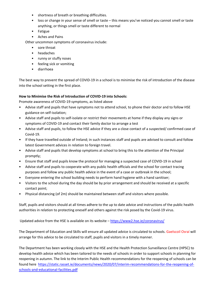- shortness of breath or breathing difficulties.
- loss or change in your sense of smell or taste this means you've noticed you cannot smell or taste anything, or things smell or taste different to normal
- Fatigue
- Aches and Pains

Other uncommon symptoms of coronavirus include:

- sore throat
- headaches
- runny or stuffy noses
- feeling sick or vomiting
- diarrhoea

The best way to prevent the spread of COVID-19 in a school is to minimise the risk of introduction of the disease into the school setting in the first place.

#### **How to Minimise the Risk of Introduction of COVID-19 into Schools:**

Promote awareness of COVID-19 symptoms, as listed above

- Advise staff and pupils that have symptoms not to attend school, to phone their doctor and to follow HSE guidance on self-isolation;
- Advise staff and pupils to self-isolate or restrict their movements at home if they display any signs or symptoms of COVID-19 and contact their family doctor to arrange a test
- Advise staff and pupils, to follow the HSE advice if they are a close contact of a suspected/ confirmed case of Covid-19.
- If they have travelled outside of Ireland; in such instances staff and pupils are advised to consult and follow latest Government advices in relation to foreign travel.
- Advise staff and pupils that develop symptoms at school to bring this to the attention of the Principal promptly;
- 
- Ensure that staff and pupils know the protocol for managing a suspected case of COVID-19 in school<br>• Advise staff and pupils to cooperate with any public health officials and the school for contact tracing purposes and follow any public health advice in the event of a case or outbreak in the school;
- Everyone entering the school building needs to perform hand hygiene with a hand sanitiser;
- Visitors to the school during the day should be by prior arrangement and should be received at a specific contact point;
- Physical distancing (of 2m) should be maintained between staff and visitors where possible.

Staff, pupils and visitors should at all times adhere to the up to date advice and instructions of the public health authorities in relation to protecting oneself and others against the risk posed by the Covid-19 virus.

Updated advice from the HSE is available on its website –<https://www2.hse.ie/coronavirus/>

The Department of Education and Skills will ensure all updated advice is circulated to schools. Gaelscoil Osraí will arrange for this advice to be circulated to staff, pupils and visitors in a timely manner.

The Department has been working closely with the HSE and the Health Protection Surveillance Centre (HPSC) to develop health advice which has been tailored to the needs of schools in order to support schools in planning for reopening in autumn. The link to the Interim Public Health recommendations for the reopening of schools can be found here [https://static.rasset.ie/documents/news/2020/07/interim-recommendations-for-the-reopening-of](https://static.rasset.ie/documents/news/2020/07/interim-recommendations-for-the-reopening-of-schools-and-educational-facilities.pdf)[schools-and-educational-facilities.pdf](https://static.rasset.ie/documents/news/2020/07/interim-recommendations-for-the-reopening-of-schools-and-educational-facilities.pdf)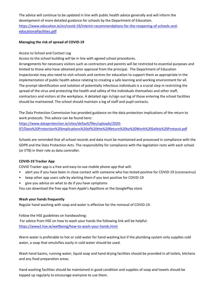The advice will continue to be updated in line with public health advice generally and will inform the development of more detailed guidance for schools by the Department of Education. [https://www.education.ie/en/covid-19/interim-recommendations-for-the-reopening-of-schools-and](https://www.education.ie/en/covid-19/interim-recommendations-for-the-reopening-of-schools-and-educationalfacilities.pdf)[educationalfacilities.pdf](https://www.education.ie/en/covid-19/interim-recommendations-for-the-reopening-of-schools-and-educationalfacilities.pdf)

#### **Managing the risk of spread of COVID-19**

#### Access to School and Contact Log

Access to the school building will be in line with agreed school procedures.

Arrangements for necessary visitors such as contractors and parents will be restricted to essential purposes and limited to those who have obtained prior approval from the principal. The Department of Education Inspectorate may also need to visit schools and centres for education to support them as appropriate in the implementation of public health advice relating to creating a safe learning and working environment for all. The prompt identification and isolation of potentially infectious individuals is a crucial step in restricting the spread of the virus and protecting the health and safety of the individuals themselves and other staff, contractors and visitors at the workplace. A detailed sign in/sign out log of those entering the school facilities should be maintained. The school should maintain a log of staff and pupil contacts.

The Data Protection Commission has provided guidance on the data protection implications of the return to work protocols. This advice can be found here:

[https://www.dataprotection.ie/sites/default/files/uploads/2020-](https://www.dataprotection.ie/sites/default/files/uploads/2020-07/Data%20Protection%20implications%20of%20the%20Return%20to%20Work%20Safely%20Protocol.pdf) [07/Data%20Protection%20implications%20of%20the%20Return%20to%20Work%20Safely%20Protocol.pdf](https://www.dataprotection.ie/sites/default/files/uploads/2020-07/Data%20Protection%20implications%20of%20the%20Return%20to%20Work%20Safely%20Protocol.pdf)

Schools are reminded that all school records and data must be maintained and processed in compliance with the GDPR and the Data Protection Acts. The responsibility for compliance with the legislation rests with each school (or ETB) in their role as data controller.

#### **COVID-19 Tracker App**

COVID Tracker app is a free and easy-to-use mobile phone app that will:

- alert you if you have been in close contact with someone who has tested positive for COVID-19 (coronavirus)
- keep other app users safe by alerting them if you test positive for COVID-19
- give you advice on what to do if you have symptoms

You can download the free app from Apple's AppStore or the GooglePlay store

#### **Wash your hands frequently**

Regular hand washing with soap and water is effective for the removal of COVID-19.

Follow the HSE guidelines on handwashing: For advice from HSE on how to wash your hands the following link will be helpful: <https://www2.hse.ie/wellbeing/how-to-wash-your-hands.html>

Warm water is preferable to hot or cold water for hand washing but if the plumbing system only supplies cold water, a soap that emulsifies easily in cold water should be used.

Wash hand basins, running water, liquid soap and hand drying facilities should be provided in all toilets, kitchens and any food preparation areas.

Hand washing facilities should be maintained in good condition and supplies of soap and towels should be topped up regularly to encourage everyone to use them.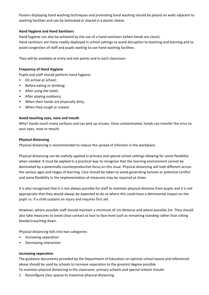Posters displaying hand washing techniques and promoting hand washing should be placed on walls adjacent to washing facilities and can be laminated or placed in a plastic sleeve.

#### **Hand Hygiene and Hand Sanitisers**

Hand hygiene can also be achieved by the use of a hand sanitisers (when hands are clean). Hand sanitisers are more readily deployed in school settings to avoid disruption to teaching and learning and to avoid congestion of staff and pupils waiting to use hand washing facilities.

They will be available at entry and exit points and in each classroom.

#### **Frequency of Hand Hygiene**

Pupils and staff should perform hand hygiene:

- On arrival at school;
- Before eating or drinking;
- After using the toilet;
- After playing outdoors;
- When their hands are physically dirty;
- When they cough or sneeze.

#### **Avoid touching eyes, nose and mouth**

Why? Hands touch many surfaces and can pick up viruses. Once contaminated, hands can transfer the virus to your eyes, nose or mouth.

#### **Physical distancing**

Physical distancing is recommended to reduce the spread of infection in the workplace.

Physical distancing can be usefully applied in primary and special school settings allowing for some flexibility when needed. It must be applied in a practical way to recognise that the learning environment cannot be dominated by a potentially counterproductive focus on this issue. Physical distancing will look different across the various ages and stages of learning. Care should be taken to avoid generating tension or potential conflict and some flexibility in the implementation of measures may be required at times.

It is also recognised that it is not always possible for staff to maintain physical distance from pupils and it is not appropriate that they would always be expected to do so where this could have a detrimental impact on the pupil i.e. if a child sustains an injury and requires first aid.

However, where possible staff should maintain a minimum of 1m distance and where possible 2m. They should also take measures to avoid close contact at face to face level such as remaining standing rather than sitting beside/crouching down.

Physical distancing falls into two categories:

- Increasing separation
- Decreasing interaction

#### **Increasing separation**

The guidance documents provided by the Department of Education on optimal school layout and referenced above should be used by schools to increase separation to the greatest degree possible

- To maintain physical distancing in the classroom, primary schools and special schools should:
- 1. Reconfigure class spaces to maximise physical distancing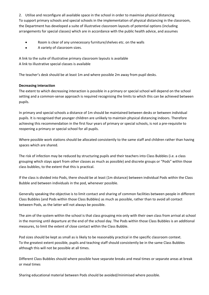2. Utilise and reconfigure all available space in the school in order to maximise physical distancing To support primary schools and special schools in the implementation of physical distancing in the classroom, the Department has developed a suite of illustrative classroom layouts of potential options (including arrangements for special classes) which are in accordance with the public health advice, and assumes

- Room is clear of any unnecessary furniture/shelves etc. on the walls
- A variety of classroom sizes.

A link to the suite of illustrative primary classroom layouts is available A link to illustrative special classes is available

The teacher's desk should be at least 1m and where possible 2m away from pupil desks.

#### **Decreasing interaction**

The extent to which decreasing interaction is possible in a primary or special school will depend on the school setting and a common-sense approach is required recognising the limits to which this can be achieved between pupils.

In primary and special schools a distance of 1m should be maintained between desks or between individual pupils. It is recognised that younger children are unlikely to maintain physical distancing indoors. Therefore achieving this recommendation in the first four years of primary or special schools, is not a pre-requisite to reopening a primary or special school for all pupils.

Where possible work stations should be allocated consistently to the same staff and children rather than having spaces which are shared.

The risk of infection may be reduced by structuring pupils and their teachers into Class Bubbles (i.e. a class grouping which stays apart from other classes as much as possible) and discrete groups or "Pods" within those class bubbles, to the extent that this is practical.

If the class is divided into Pods, there should be at least (1m distance) between individual Pods within the Class Bubble and between individuals in the pod, whenever possible.

Generally speaking the objective is to limit contact and sharing of common facilities between people in different Class Bubbles (and Pods within those Class Bubbles) as much as possible, rather than to avoid all contact between Pods, as the latter will not always be possible.

The aim of the system within the school is that class grouping mix only with their own class from arrival at school in the morning until departure at the end of the school day. The Pods within those Class Bubbles is an additional measures, to limit the extent of close contact within the Class Bubble.

Pod sizes should be kept as small as is likely to be reasonably practical in the specific classroom context. To the greatest extent possible, pupils and teaching staff should consistently be in the same Class Bubbles although this will not be possible at all times.

Different Class Bubbles should where possible have separate breaks and meal times or separate areas at break or meal times

Sharing educational material between Pods should be avoided/minimised where possible.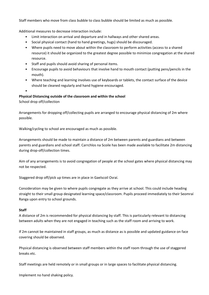Staff members who move from class bubble to class bubble should be limited as much as possible.

- Additional measures to decrease interaction include:<br>• Limit interaction on arrival and departure and in hallways and other shared areas.
	-
	- Social physical contact (hand to hand greetings, hugs) should be discouraged. Where pupils need to move about within the classroom to perform activities (access to a shared resource) it should be organized to the greatest degree possible to minimize congregation at the shared
	- resource.<br>• Staff and pupils should avoid sharing of personal items.
	- Encourage pupils to avoid behaviours that involve hand to mouth contact (putting pens/pencils in the
	- mouth). Where teaching and learning involves use of keyboards or tablets, the contact surface of the device should be cleaned regularly and hand hygiene encouraged. •
	-

#### **Physical Distancing outside of the classroom and within the school**

School drop off/collection

Arrangements for dropping off/collecting pupils are arranged to encourage physical distancing of 2m where possible.

Walking/cycling to school are encouraged as much as possible.

Arrangements should be made to maintain a distance of 2m between parents and guardians and between parents and guardians and school staff. Carrchlos na Scoile has been made available to facilitate 2m distancing during drop-off/collection times.

Aim of any arrangements is to avoid congregation of people at the school gates where physical distancing may not be respected.

Staggered drop off/pick up times are in place in Gaelscoil Osraí.

Consideration may be given to where pupils congregate as they arrive at school. This could include heading straight to their small group designated learning space/classroom. Pupils proceed immediately to their Seomraí Ranga upon entry to school grounds.

#### **Staff**

A distance of 2m is recommended for physical distancing by staff. This is particularly relevant to distancing between adults when they are not engaged in teaching such as the staff room and arriving to work.

If 2m cannot be maintained in staff groups, as much as distance as is possible and updated guidance on face covering should be observed.

Physical distancing is observed between staff members within the staff room through the use of staggered breaks etc.

Staff meetings are held remotely or in small groups or in large spaces to facilitate physical distancing.

Implement no hand shaking policy.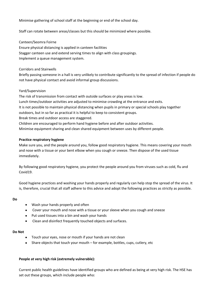Minimise gathering of school staff at the beginning or end of the school day.

Staff can rotate between areas/classes but this should be minimized where possible.

Canteen/Seomra Foirne

Ensure physical distancing is applied in canteen facilities Stagger canteen use and extend serving times to align with class groupings. Implement a queue management system.

#### Corridors and Stairwells

Briefly passing someone in a hall is very unlikely to contribute significantly to the spread of infection if people do not have physical contact and avoid informal group discussions.

#### Yard/Supervision

The risk of transmission from contact with outside surfaces or play areas is low. Lunch times/outdoor activities are adjusted to minimise crowding at the entrance and exits. It is not possible to maintain physical distancing when pupils in primary or special schools play together outdoors, but in so far as practical it is helpful to keep to consistent groups. Break times and outdoor access are staggered. Children are encouraged to perform hand hygiene before and after outdoor activities. Minimise equipment sharing and clean shared equipment between uses by different people.

#### **Practice respiratory hygiene**

Make sure you, and the people around you, follow good respiratory hygiene. This means covering your mouth and nose with a tissue or your bent elbow when you cough or sneeze. Then dispose of the used tissue immediately.

By following good respiratory hygiene, you protect the people around you from viruses such as cold, flu and Covid19.

Good hygiene practices and washing your hands properly and regularly can help stop the spread of the virus. It is, therefore, crucial that all staff adhere to this advice and adopt the following practices as strictly as possible.

#### **Do**

- Wash your hands properly and often
- Cover your mouth and nose with a tissue or your sleeve when you cough and sneeze
- Put used tissues into a bin and wash your hands
- Clean and disinfect frequently touched objects and surfaces.

#### **Do Not**

- Touch your eyes, nose or mouth if your hands are not clean
- Share objects that touch your mouth for example, bottles, cups, cutlery, etc

#### **People at very high risk (extremely vulnerable):**

Current public health guidelines have identified groups who are defined as being at very high risk. The HSE has set out these groups, which include people who: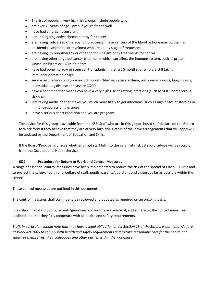- The list of people in very high risk groups include people who:
- are over 70 years of age even if you're fit and well
- have had an organ transplant
- are undergoing active chemotherapy for cancer
- are having radical radiotherapy for lung cancer have cancers of the blood or bone marrow such as leukaemia, lymphoma or myeloma who are at any stage of treatment
- are having immunotherapy or other continuing antibody treatments for cancer
- are having other targeted cancer treatments which can affect the immune system, such as protein kinase inhibitors or PARP inhibitors
- have had bone marrow or stem cell transplants in the last 6 months, or who are still taking immunosuppression drugs
- severe respiratory conditions including cystic fibrosis, severe asthma, pulmonary fibrosis, lung fibrosis, interstitial lung disease and severe COPD
- have a condition that means you have a very high risk of getting infections (such as SCID, homozygous sickle cell)
- are taking medicine that makes you much more likely to get infections (such as high doses of steroids or immunosuppression therapies)
- have a serious heart condition and you are pregnant

The advice for this group is available from the HSE. Staff who are in this group should self-declare on the Return to Work form if they believe that they are at very high risk. Details of the leave arrangements that will apply will be updated by the Department of Education and Skills.

If the Board/Principal is unsure whether or not staff fall into the very high-risk category, advice will be sought from the Occupational Health Service.

#### **6&7 Procedure for Return to Work and Control Measures**

A range of essential control measures have been implemented to reduce the risk of the spread of Covid-19 virus and to protect the safety, health and welfare of staff, pupils, parents/guardians and visitors as far as possible within the school .

These control measures are outlined in this document.

The control measures shall continue to be reviewed and updated as required on an ongoing basis.

It is critical that staff, pupils, parents/guardians and visitors are aware of, and adhere to, the control measures outlined and that they fully cooperate with all health and safety requirements.

*Staff, in particular, should note that they have a legal obligation under Section 13 of the Safety, Health and Welfare at Work Act 2005 to comply with health and safety requirements and to take reasonable care for the health and safety of themselves, their colleagues and other parties within the workplace.*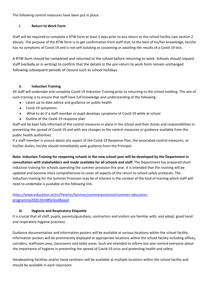The following control measures have been put in place:

#### **i. Return to Work Form**

Staff will be required to complete a RTW form at least 3 days prior to any return to the school facility (see section 2 above). The purpose of the RTW form is to get confirmation from staff that, to the best of his/her knowledge, he/she has no symptoms of Covid-19 and is not self-isolating or cocooning or awaiting the results of a Covid-19 test.

A RTW form should be completed and returned to the school before returning to work. Schools should request staff (verbally or in writing) to confirm that the details in the pre-return to work form remain unchanged following subsequent periods of closure such as school holidays.

#### **ii. Induction Training**

All staff will undertake and complete Covid-19 Induction Training prior to returning to the school building. The aim of such training is to ensure that staff have full knowledge and understanding of the following:

- Latest up to-date advice and guidance on public health
- Covid-19 symptoms
- What to do if a staff member or pupil develops symptoms of Covid-19 while at school
- Outline of the Covid-19 response plan

Staff will be kept fully informed of the control measures in place in the school and their duties and responsibilities in preventing the spread of Covid-19 and with any changes to the control measures or guidance available from the public health authorities.

If a staff member is unsure about any aspect of the Covid-19 Response Plan, the associated control measures, or his/her duties, he/she should immediately seek guidance from the Principal.

**Note: Induction Training for reopening schools in the new school year will be developed by the Department in consultation with stakeholders and made available for all schools and staff**. The Department has prepared short induction training for schools operating the summer provision this year. It is intended that this training will be updated and become more comprehensive to cover all aspects of the return to school safely protocols. The Induction training for the Summer Provision may be of interest in the context of the kind of training which staff will need to undertake is available at the following link.

[https://www.education.ie/en/Parents/Services/summerprovision/summer-education](https://www.education.ie/en/Parents/Services/summerprovision/summer-education-programme2020.html)[programme2020.html#SchoolBased](https://www.education.ie/en/Parents/Services/summerprovision/summer-education-programme2020.html)

#### **iii. Hygiene and Respiratory Etiquette**

It is crucial that all staff, pupils, parents/guardians, contractors and visitors are familiar with, and adopt, good hand and respiratory hygiene practices.

Guidance documentation and Information posters will be available at various locations within the school facility. Information posters will be prominently displayed at appropriate locations within the school facility including offices, corridors, staffroom area, classrooms and toilet areas. Such are intended to inform but also remind everyone about the importance of hygiene in preventing the spread of Covid-19 virus and protecting health and safety.

Handwashing facilities and/or hand sanitisers will be available at multiple locations within the school facility and should be available in each classroom.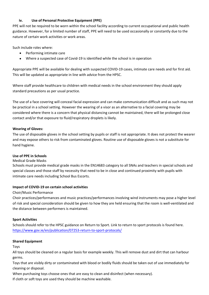#### **iv. Use of Personal Protective Equipment (PPE)**

PPE will not be required to be worn within the school facility according to current occupational and public health guidance. However, for a limited number of staff, PPE will need to be used occasionally or constantly due to the nature of certain work activities or work areas.

Such include roles where:

- Performing intimate care
- Where a suspected case of Covid-19 is identified while the school is in operation

Appropriate PPE will be available for dealing with suspected COVID-19 cases, intimate care needs and for first aid. This will be updated as appropriate in line with advice from the HPSC.

Where staff provide healthcare to children with medical needs in the school environment they should apply standard precautions as per usual practice.

The use of a face covering will conceal facial expression and can make communication difficult and as such may not be practical in a school setting. However the wearing of a visor as an alternative to a facial covering may be considered where there is a concern that physical distancing cannot be maintained, there will be prolonged close contact and/or that exposure to fluid/respiratory droplets is likely.

#### **Wearing of Gloves:**

The use of disposable gloves in the school setting by pupils or staff is not appropriate. It does not protect the wearer and may expose others to risk from contaminated gloves. Routine use of disposable gloves is not a substitute for hand hygiene.

#### **Use of PPE in Schools**

#### Medical Grade Masks

Schools must provide medical grade masks in the EN14683 category to all SNAs and teachers in special schools and special classes and those staff by necessity that need to be in close and continued proximity with pupils with intimate care needs including School Bus Escorts.

#### **Impact of COVID-19 on certain school activities**

#### Choir/Music Performance

Choir practices/performances and music practices/performances involving wind instruments may pose a higher level of risk and special consideration should be given to how they are held ensuring that the room is well-ventilated and the distance between performers is maintained.

#### **Sport Activities**

Schools should refer to the HPSC guidance on Return to Sport. Link to return to sport protocols is found here. <https://www.gov.ie/en/publication/07253-return-to-sport-protocols/>

#### **Shared Equipment**

Toys

All toys should be cleaned on a regular basis for example weekly. This will remove dust and dirt that can harbour germs.

Toys that are visibly dirty or contaminated with blood or bodily fluids should be taken out of use immediately for cleaning or disposal.

When purchasing toys choose ones that are easy to clean and disinfect (when necessary).

If cloth or soft toys are used they should be machine washable.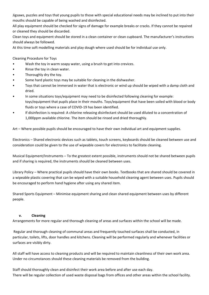Jigsaws, puzzles and toys that young pupils to those with special educational needs may be inclined to put into their mouths should be capable of being washed and disinfected.

All play equipment should be checked for signs of damage for example breaks or cracks. If they cannot be repaired or cleaned they should be discarded.

Clean toys and equipment should be stored in a clean container or clean cupboard. The manufacturer's instructions should always be followed.

At this time soft modelling materials and play dough where used should be for individual use only.

- Cleaning Procedure for Toys<br>● Wash the toy in warm soapy water, using a brush to get into crevices.
- Rinse the toy in clean water.
- Thoroughly dry the toy.
- 
- Some hard plastic toys may be suitable for cleaning in the dishwasher.<br>Toys that cannot be immersed in water that is electronic or wind up should be wiped with a damp cloth and
- dried.<br>In some situations toys/equipment may need to be disinfected following cleaning for example: toys/equipment that pupils place in their mouths. Toys/equipment that have been soiled with blood or body
- fluids or toys where a case of COVID-19 has been identified. If disinfection is required: A chlorine releasing disinfectant should be used diluted to a concentration of 1,000ppm available chlorine. The item should be rinsed and dried thoroughly.

Art – Where possible pupils should be encouraged to have their own individual art and equipment supplies.

Electronics – Shared electronic devices such as tablets, touch screens, keyboards should be cleaned between use and consideration could be given to the use of wipeable covers for electronics to facilitate cleaning.

Musical Equipment/Instruments – To the greatest extent possible, instruments should not be shared between pupils and if sharing is required, the instruments should be cleaned between uses.

Library Policy – Where practical pupils should have their own books. Textbooks that are shared should be covered in a wipeable plastic covering that can be wiped with a suitable household cleaning agent between uses. Pupils should be encouraged to perform hand hygiene after using any shared item.

Shared Sports Equipment – Minimise equipment sharing and clean shared equipment between uses by different people.

#### **v. Cleaning**

Arrangements for more regular and thorough cleaning of areas and surfaces within the school will be made.

 Regular and thorough cleaning of communal areas and frequently touched surfaces shall be conducted, in particular, toilets, lifts, door handles and kitchens. Cleaning will be performed regularly and whenever facilities or surfaces are visibly dirty.

All staff will have access to cleaning products and will be required to maintain cleanliness of their own work area. Under no circumstances should these cleaning materials be removed from the building.

Staff should thoroughly clean and disinfect their work area before and after use each day. There will be regular collection of used waste disposal bags from offices and other areas within the school facility.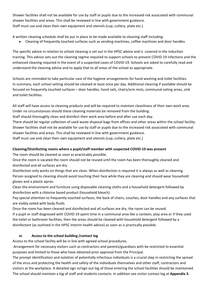Shower facilities shall not be available for use by staff or pupils due to the increased risk associated with communal shower facilities and areas. This shall be reviewed in line with government guidance. Staff must use and clean their own equipment and utensils (cup, cutlery, plate etc.).

A written cleaning schedule shall be put in place to be made available to cleaning staff including:

Cleaning of frequently touched surfaces such as vending machines, coffee machines and door handles

The specific advice in relation to school cleaning is set out in the HPSC advice and is covered in the induction training. This advice sets out the cleaning regime required to support schools to prevent COVID-19 infections and the enhanced cleaning required in the event of a suspected cases of COVID-19. Schools are asked to carefully read and understand the cleaning advice and to apply that to all areas of the school as appropriate.

Schools are reminded to take particular care of the hygiene arrangements for hand washing and toilet facilities. In summary, each school setting should be cleaned at least once per day. Additional cleaning if available should be focused on frequently touched surfaces – door handles, hand rails, chairs/arm rests, communal eating areas, sink and toilet facilities.

All staff will have access to cleaning products and will be required to maintain cleanliness of their own work area. Under no circumstances should these cleaning materials be removed from the building.

Staff should thoroughly clean and disinfect their work area before and after use each day.

There should be regular collection of used waste disposal bags from offices and other areas within the school facility. Shower facilities shall not be available for use by staff or pupils due to the increased risk associated with communal shower facilities and areas. This shall be reviewed in line with government guidance.

Staff must use and clean their own equipment and utensils (cup, cutlery, plate etc.)

#### **Cleaning/Disinfecting rooms where a pupil/staff member with suspected COVID-19 was present**

The room should be cleaned as soon as practicably possible.

Once the room is vacated the room should not be reused until the room has been thoroughly cleaned and disinfected and all surfaces are dry.

Disinfection only works on things that are clean. When disinfection is required it is always as well as cleaning. Person assigned to cleaning should avoid touching their face while they are cleaning and should wear household gloves and a plastic apron.

Clean the environment and furniture using disposable cleaning cloths and a household detergent followed by disinfection with a chlorine based product (household bleach).

Pay special attention to frequently touched surfaces, the back of chairs, couches, door handles and any surfaces that are visibly soiled with body fluids.

Once the room has been cleaned and disinfected and all surfaces are dry, the room can be reused. If a pupil or staff diagnosed with COVID-19 spent time in a communal area like a canteen, play area or if they used the toilet or bathroom facilities, then the areas should be cleaned with household detergent followed by a disinfectant (as outlined in the HPSC interim health advice) as soon as is practically possible.

#### **vi. Access to the school building /contact log**

Access to the school facility will be in line with agreed school procedures.

 Arrangement for necessary visitors such as contractors and parents/guardians with be restricted to essential purposes and limited to those who have obtained prior approval from the Principal.

The prompt identification and isolation of potentially infectious individuals is a crucial step in restricting the spread of the virus and protecting the health and safety of the individuals themselves and other staff, contractors and visitors at the workplace. A detailed sign in/sign out log of those entering the school facilities should be maintained. The school should maintain a log of staff and students contacts. In addition see visitor contact log at **Appendix 3.**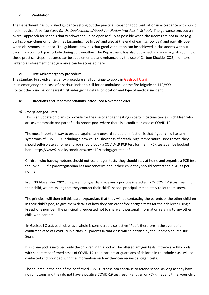#### vii. **Ventilation**

The Department has published guidance setting out the practical steps for good ventilation in accordance with public health advice '*Practical Steps for the Deployment of Good Ventilation Practices in Schools'* The guidance sets out an overall approach for schools that windows should be open as fully as possible when classrooms are not in use (e.g. during break-times or lunch-times (assuming not in use) and also at the end of each school day) and partially open when classrooms are in use. The guidance provides that good ventilation can be achieved in classrooms without causing discomfort, particularly during cold weather. The Department has also published guidance regarding on how these practical steps measures can be supplemented and enhanced by the use of Carbon Dioxide (CO2) monitors. Links to all aforementioned guidance can be accessed here.

#### **viii. First Aid/emergency procedure**

The standard First Aid/Emergency procedure shall continue to apply in Gaelscoil Osraí In an emergency or in case of a serious incident, call for an ambulance or the fire brigade on 112/999 Contact the principal or nearest first aider giving details of location and type of medical incident.

#### **ix. Directions and Recommendations introduced November 2021**

#### *a) Use of Antigen Tests*

This is an update on plans to provide for the use of antigen testing in certain circumstances in children who are asymptomatic and part of a classroom pod, where there is a confirmed case of COVID-19.

The most important way to protect against any onward spread of infection is that if your child has any symptoms of COVID-19, including a new cough, shortness of breath, high temperature, sore throat, they should self-isolate at home and you should book a COVID-19 PCR test for them. PCR tests can be booked here: https://www2.hse.ie/conditions/covid19/testing/get-tested/

Children who have symptoms should not use antigen tests, they should stay at home and organise a PCR test for Covid-19. If a parent/guardian has any concerns about their child they should contact their GP, as per normal.

From **29 November 2021**, if a parent or guardian receives a positive (detected) PCR COVID-19 test result for their child, we are asking that they contact their child's school principal immediately to let them know.

The principal will then tell this parent/guardian, that they will be contacting the parents of the other children in their child's pod, to give them details of how they can order free antigen tests for their children using a Freephone number. The principal is requested not to share any personal information relating to any other child with parents.

 In Gaelscoil Osraí, each class as a whole is considered a collective "Pod", therefore in the event of a confirmed case of Covid-19 in a class, all parents in that class will be notified by the Príomhoide, Máistir Seán.

If just one pod is involved, only the children in this pod will be offered antigen tests. If there are two pods with separate confirmed cases of COVID-19, then parents or guardians of children in the whole class will be contacted and provided with the information on how they can request antigen tests.

The children in the pod of the confirmed COVID-19 case can continue to attend school as long as they have no symptoms and they do not have a positive COVID-19 test result (antigen or PCR). If at any time, your child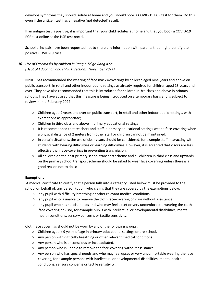develops symptoms they should isolate at home and you should book a COVID-19 PCR test for them. Do this even if the antigen test has a negative (not detected) result.

If an antigen test is positive, it is important that your child isolates at home and that you book a COVID-19 PCR test online at the HSE test portal.

School principals have been requested not to share any information with parents that might identify the positive COVID-19 case.

#### *b) Use of Facemasks by children in Rang a Trí go Rang a Sé (Dept of Education and HPSE Directions, November 2021)*

NPHET has recommended the wearing of face masks/coverings by children aged nine years and above on public transport, in retail and other indoor public settings as already required for children aged 13 years and over. They have also recommended that this is introduced for children in 3rd class and above in primary schools. They have advised that this measure is being introduced on a temporary basis and is subject to review in mid-February 2022

- o Children aged 9 years and over on public transport, in retail and other indoor public settings, with exemptions as appropriate;
- o Children in third class and above in primary educational settings
- o It is recommended that teachers and staff in primary educational settings wear a face-covering when a physical distance of 2 meters from other staff or children cannot be maintained.
- o In certain situations, the use of clear visors should be considered, for example staff interacting with students with hearing difficulties or learning difficulties. However, it is accepted that visors are less effective than face-coverings in preventing transmission.
- o All children on the post primary school transport scheme and all children in third class and upwards on the primary school transport scheme should be asked to wear face coverings unless there is a good reason not to do so

#### **Exemptions**

 A medical certificate to certify that a person falls into a category listed below must be provided to the school on behalf of, any person (pupil) who claims that they are covered by the exemptions below:

- o any pupil with difficulty breathing or other relevant medical conditions
- o any pupil who is unable to remove the cloth face-covering or visor without assistance
- o any pupil who has special needs and who may feel upset or very uncomfortable wearing the cloth face covering or visor, for example pupils with intellectual or developmental disabilities, mental health conditions, sensory concerns or tactile sensitivity.

Cloth face coverings should not be worn by any of the following groups:

- o Children aged < 9 years of age in primary educational settings or pre-school.
- o Any person with difficulty breathing or other relevant medical conditions.
- o Any person who is unconscious or incapacitated.
- o Any person who is unable to remove the face-covering without assistance.
- o Any person who has special needs and who may feel upset or very uncomfortable wearing the face covering, for example persons with intellectual or developmental disabilities, mental health conditions, sensory concerns or tactile sensitivity.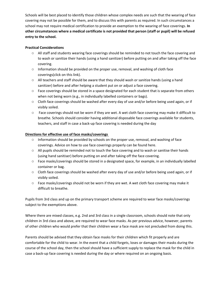Schools will be best placed to identify those children whose complex needs are such that the wearing of face covering may not be possible for them, and to discuss this with parents as required. In such circumstances a school may not require medical certification to provide an exemption to the wearing of face coverings. **In other circumstances where a medical certificate is not provided that person (staff or pupil) will be refused entry to the school.**

#### **Practical Considerations**

- o All staff and students wearing face coverings should be reminded to not touch the face covering and to wash or sanitize their hands (using a hand sanitizer) before putting on and after taking off the face covering.
- o Information should be provided on the proper use, removal, and washing of cloth face coverings(click on this link).
- o All teachers and staff should be aware that they should wash or sanitize hands (using a hand sanitizer) before and after helping a student put on or adjust a face covering.
- o Face coverings should be stored in a space designated for each student that is separate from others when not being worn (e.g., in individually labelled containers or bags).
- o Cloth face coverings should be washed after every day of use and/or before being used again, or if visibly soiled.
- o Face coverings should not be worn if they are wet. A wet cloth face covering may make it difficult to breathe. Schools should consider having additional disposable face coverings available for students, teachers, and staff in case a back-up face covering is needed during the day

#### **Directions for effective use of face masks/coverings**

- $\circ$  Information should be provided by schools on the proper use, removal, and washing of face coverings. Advice on how to use face coverings properly can be found here.
- o All pupils should be reminded not to touch the face covering and to wash or sanitise their hands (using hand sanitiser) before putting on and after taking off the face covering.
- o Face masks/coverings should be stored in a designated space, for example, in an individually labelled container or bag.
- o Cloth face coverings should be washed after every day of use and/or before being used again, or if visibly soiled.
- o Face masks/coverings should not be worn if they are wet. A wet cloth face covering may make it difficult to breathe.

Pupils from 3rd class and up on the primary transport scheme are required to wear face masks/coverings subject to the exemptions above.

Where there are mixed classes, e.g. 2nd and 3rd class in a single classroom, schools should note that only children in 3rd class and above, are required to wear face masks. As per previous advice, however, parents of other children who would prefer that their children wear a face mask are not precluded from doing this.

Parents should be advised that they obtain face masks for their children which fit properly and are comfortable for the child to wear. In the event that a child forgets, loses or damages their masks during the course of the school day, then the school should have a sufficient supply to replace the mask for the child in case a back-up face covering is needed during the day or where required on an ongoing basis.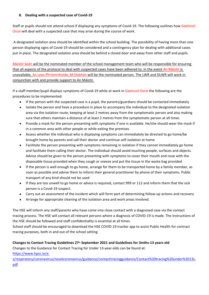#### **8. Dealing with a suspected case of Covid-19**

Staff or pupils should not attend school if displaying any symptoms of Covid-19. The following outlines how Gaelscoil Osraí will deal with a suspected case that may arise during the course of work.

 A designated isolation area should be identified within the school building. The possibility of having more than one person displaying signs of Covid-19 should be considered and a contingency plan for dealing with additional cases put in place. The designated isolation area should be behind a closed door and away from other staff and pupils.

Máistir Seán will be the nominated member of the school management team who will be responsible for ensuring that all aspects of the protocol to deal with suspected cases have been adhered to. In the event An Máistir is unavailable, An Leas-Phríomnhoide, M.Siobhán will be the nominated person. The LWR and DLWR will work in conjunction with and provide support to An Máistir.

If a staff member/pupil displays symptoms of Covid-19 while at work in Gaelscoil Osraí the following are the procedures to be implemented:

- If the person with the suspected case is a pupil, the parents/guardians should be contacted immediately
- Isolate the person and have a procedure in place to accompany the individual to the designated isolation area via the isolation route, keeping at least 2 metres away from the symptomatic person and also making sure that others maintain a distance of at least 2 metres from the symptomatic person at all times
- Provide a mask for the person presenting with symptoms if one is available. He/she should wear the mask if in a common area with other people or while exiting the premises
- Assess whether the individual who is displaying symptoms can immediately be directed to go home/be brought home by parents and call their doctor and continue self-isolation at home
- Facilitate the person presenting with symptoms remaining in isolation if they cannot immediately go home and facilitate them calling their doctor. The individual should avoid touching people, surfaces and objects. Advice should be given to the person presenting with symptoms to cover their mouth and nose with the disposable tissue provided when they cough or sneeze and put the tissue in the waste bag provided
- If the person is well enough to go home, arrange for them to be transported home by a family member, as soon as possible and advise them to inform their general practitioner by phone of their symptoms. Public transport of any kind should not be used
- If they are too unwell to go home or advice is required, contact 999 or 112 and inform them that the sick person is a Covid-19 suspect.
- Carry out an assessment of the incident which will form part of determining follow-up actions and recovery
- Arrange for appropriate cleaning of the isolation area and work areas involved.

The HSE will inform any staff/parents who have come into close contact with a diagnosed case via the contact tracing process. The HSE will contact all relevant persons where a diagnosis of COVID-19 is made. The instructions of the HSE should be followed and staff confidentiality is essential at all times.

School staff should be encouraged to download the HSE COVID-19 tracker app to assist Public Health for contract tracing purposes, both in and out of the school setting

#### **Changes to Contact Tracing Guidelines 27th September 2021 and Guidelines for 3mths-13 years old**

Changes to the Guidance for Contact Tracing for Under 13-year-olds can be found at:

[https://www.hpsc.ie/a-](https://www.hpsc.ie/a-z/respiratory/coronavirus/novelcoronavirus/guidance/contacttracingguidance/Contact%20tracing%20under%2013s.pdf)

[z/respiratory/coronavirus/novelcoronavirus/guidance/contacttracingguidance/Contact%20tracing%20under%2013s.](https://www.hpsc.ie/a-z/respiratory/coronavirus/novelcoronavirus/guidance/contacttracingguidance/Contact%20tracing%20under%2013s.pdf) [pdf](https://www.hpsc.ie/a-z/respiratory/coronavirus/novelcoronavirus/guidance/contacttracingguidance/Contact%20tracing%20under%2013s.pdf)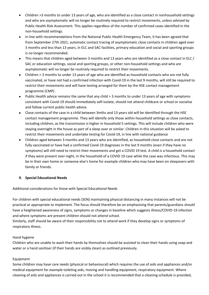- Children >3 months to under 13 years of age, who are identified as a close contact in nonhousehold settings and who are asymptomatic will no longer be routinely required to restrict movements, unless advised by Public Health Risk Assessment. This applies regardless of the number of confirmed cases identified in the non-household settings.
- In line with recommendations from the National Public Health Emergency Team, it has been agreed that from September 27th 2021, automatic contact tracing of asymptomatic close contacts in children aged over 3 months and less than 13 years, in ELC and SAC facilities, primary education and social and sporting groups is no longer recommended.
- This means that children aged between 3 months and 13 years who are identified as a close contact in ELC / SAC or education settings, social and sporting groups, or other non-household settings and who are asymptomatic will no longer be routinely required to restrict their movements.
- Children > 3 months to under 13 years of age who are identified as household contacts who are not fully vaccinated, or have not had a confirmed infection with Covid-19 in the last 9 months, will still be required to restrict their movements and will have testing arranged for them by the HSE contact management programme (CMP) .
- Public Health advice remains the same that any child > 3 months to under 13 years of age with symptoms consistent with Covid-19 should immediately self-isolate, should not attend childcare or school or socialise and follow current public health advice.
- Close contacts of the case in a child between 3mths and 13 years old will be identified through the HSE contact management programme. They will identify only those within household settings as close contacts, including children, as the transmission is higher in household 5 settings. This will include children who were staying overnight in the house as part of a sleep over or similar. Children in this situation will be asked to restrict their movements and undertake testing for Covid-19, in line with national guidance
- Children aged between 3 months and 13 years who are identified, as household close contacts and are not fully vaccinated or have had a confirmed Covid-19 diagnoses in the last 9 months (even if they have no symptoms) will still need to restrict their movements and get a COVID 19 test. A child is a household contact if they were present over-night, in the household of a COVID 19 case while the case was infectious. This may be in their own home or someone else's home for example children who may have been on sleepovers with family or friends.

#### **9. Special Educational Needs**

Additional considerations for those with Special Educational Needs

For children with special educational needs (SEN) maintaining physical distancing in many instances will not be practical or appropriate to implement. The focus should therefore be on emphasising that parents/guardians should have a heightened awareness of signs, symptoms or changes in baseline which suggests illness/COVID-19 infection and where symptoms are present children should not attend school.

Similarly, staff should be aware of their responsibility not to attend work if they develop signs or symptoms of respiratory illness.

#### Hand hygiene

Children who are unable to wash their hands by themselves should be assisted to clean their hands using soap and water or a hand sanitiser (if their hands are visibly clean) as outlined previously.

#### Equipment

Some children may have care needs (physical or behavioural) which requires the use of aids and appliances and/or medical equipment for example toileting aids, moving and handling equipment, respiratory equipment. Where cleaning of aids and appliances is carried out in the school it is recommended that a cleaning schedule is provided,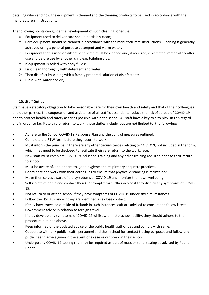detailing when and how the equipment is cleaned and the cleaning products to be used in accordance with the manufacturers' instructions.

The following points can guide the development of such cleaning schedule:

- o Equipment used to deliver care should be visibly clean;
- o Care equipment should be cleaned in accordance with the manufacturers' instructions. Cleaning is generally achieved using a general-purpose detergent and warm water.
- o Equipment that is used on different children must be cleaned and, if required, disinfected immediately after use and before use by another child e.g. toileting aids;
- o If equipment is soiled with body fluids:
- $\triangleright$  First clean thoroughly with detergent and water;
- $\triangleright$  Then disinfect by wiping with a freshly prepared solution of disinfectant;
- $\triangleright$  Rinse with water and dry.

#### **10. Staff Duties**

Staff have a statutory obligation to take reasonable care for their own health and safety and that of their colleagues and other parties. The cooperation and assistance of all staff is essential to reduce the risk of spread of COVID-19 and to protect health and safety as far as possible within the school. All staff have a key role to play. In this regard and in order to facilitate a safe return to work, these duties include, but are not limited to, the following:<br>• Adhere to the School COVID-19 Response Plan and the control measures outlined.

- 
- Complete the RTW form before they return to work.
- Must inform the principal if there are any other circumstances relating to COVID19, not included in the form,
- which may need to be disclosed to facilitate their safe return to the workplace.<br>• New staff must complete COVID-19 Induction Training and any other training required prior to their return
- to school.<br>Must be aware of, and adhere to, good hygiene and respiratory etiquette practices.
- Coordinate and work with their colleagues to ensure that physical distancing is maintained.
- Make themselves aware of the symptoms of COVID-19 and monitor their own wellbeing.
- Self-isolate at home and contact their GP promptly for further advice if they display any symptoms of COVID-
- 19.<br>
Not return to or attend school if they have symptoms of COVID-19 under any circumstances.<br>
Follow the HSE guidance if they are identified as a close contact.<br>
If they have travelled outside of Ireland; in such
- 
- Government advice in relation to foreign travel.
- If they develop any symptoms of COVID-19 whilst within the school facility, they should adhere to the procedure outlined above.
- Keep informed of the updated advice of the public health authorities and comply with same.
- Cooperate with any public health personnel and their school for contact tracing purposes and follow any
- public health advice given in the event of a case or outbreak in their school<br>Undergo any COVID-19 testing that may be required as part of mass or serial testing as advised by Public Health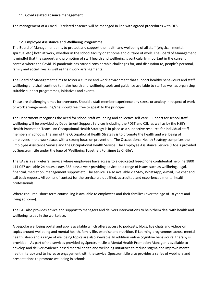#### **11. Covid related absence management**

The management of a Covid-19 related absence will be managed in line with agreed procedures with DES.

#### **12. Employee Assistance and Wellbeing Programme**

The Board of Management aims to protect and support the health and wellbeing of all staff (physical, mental, spiritual etc.) both at work, whether in the school facility or at home and outside of work. The Board of Management is mindful that the support and promotion of staff health and wellbeing is particularly important in the current context where the Covid-19 pandemic has caused considerable challenges for, and disruption to, people's personal, family and social lives as well as their work arrangements.

The Board of Management aims to foster a culture and work environment that support healthy behaviours and staff wellbeing and shall continue to make health and wellbeing tools and guidance available to staff as well as organising suitable support programmes, initiatives and events.

These are challenging times for everyone. Should a staff member experience any stress or anxiety in respect of work or work arrangements, he/she should feel free to speak to the principal.

The Department recognises the need for school staff wellbeing and collective self-care. Support for school staff wellbeing will be provided by Department Support Services including the PDST and CSL, as well as by the HSE's Health Promotion Team. An Occupational Health Strategy is in place as a supportive resource for individual staff members in schools. The aim of the Occupational Health Strategy is to promote the health and wellbeing of employees in the workplace, with a strong focus on prevention. The Occupational Health Strategy comprises the Employee Assistance Service and the Occupational Health Service. The Employee Assistance Service (EAS) is provided by Spectrum.Life under the logo of 'Wellbeing Together: Folláinne Le Chéile'.

The EAS is a self-referral service where employees have access to a dedicated free-phone confidential helpline 1800 411 057 available 24 hours a day, 365 days a year providing advice on a range of issues such as wellbeing, legal, financial, mediation, management support etc. The service is also available via SMS, WhatsApp, e-mail, live chat and call back request. All points of contact for the service are qualified, accredited and experienced mental health professionals.

Where required, short-term counselling is available to employees and their families (over the age of 18 years and living at home).

The EAS also provides advice and support to managers and delivers interventions to help them deal with health and wellbeing issues in the workplace.

A bespoke wellbeing portal and app is available which offers access to podcasts, blogs, live chats and videos on topics around wellbeing and mental health, family life, exercise and nutrition. E-Learning programmes across mental health, sleep and a range of wellbeing topics are also available. In addition online cognitive behavioural therapy is provided. As part of the services provided by Spectrum.Life a Mental Health Promotion Manager is available to develop and deliver evidence based mental health and wellbeing initiatives to reduce stigma and improve mental health literacy and to increase engagement with the service. Spectrum.Life also provides a series of webinars and presentations to promote wellbeing in schools.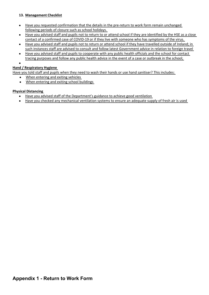#### **13. Management Checklist**

- Have you requested confirmation that the details in the pre-return to work form remain unchanged following periods of closure such as school holidays.
- Have you advised staff and pupils not to return to or attend school if they are identified by the HSE as a close contact of a confirmed case of COVID-19 or if they live with someone who has symptoms of the virus.
- Have you advised staff and pupils not to return or attend school if they have travelled outside of Ireland; in such instances staff are advised to consult and follow latest Government advice in relation to foreign travel
- Have you advised staff and pupils to cooperate with any public health officials and the school for contact tracing purposes and follow any public health advice in the event of a case or outbreak in the school;

 $\bullet$  and  $\bullet$  and  $\bullet$  and  $\bullet$ 

#### **Hand / Respiratory Hygiene**

Have you told staff and pupils when they need to wash their hands or use hand sanitiser? This includes:

- When entering and exiting vehicles
- When entering and exiting school buildings

#### **Physical Distancing**

- Have you advised staff of the Department's guidance to achieve good ventilation
- Have you checked any mechanical ventilation systems to ensure an adequate supply of fresh air is used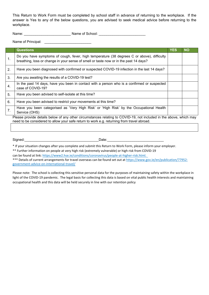This Return to Work Form must be completed by school staff in advance of returning to the workplace. If the answer is Yes to any of the below questions, you are advised to seek medical advice before returning to the workplace.

Name: \_\_\_\_\_\_\_\_\_\_\_\_\_\_\_\_\_\_\_\_\_\_\_\_ Name of School: \_\_\_\_\_\_\_\_\_\_\_\_\_\_\_\_\_\_\_\_\_\_\_\_

Name of Principal: **We also contain the Second Structure of Principal:** 

|                  | <b>Questions</b>                                                                                                                                                                    | <b>YES</b> | <b>NO</b> |  |  |  |  |
|------------------|-------------------------------------------------------------------------------------------------------------------------------------------------------------------------------------|------------|-----------|--|--|--|--|
| 1.               | Do you have symptoms of cough, fever, high temperature (38 degrees C or above), difficulty<br>breathing, loss or change in your sense of smell or taste now or in the past 14 days? |            |           |  |  |  |  |
| 2.               | Have you been diagnosed with confirmed or suspected COVID-19 infection in the last 14 days?                                                                                         |            |           |  |  |  |  |
| 3.               | Are you awaiting the results of a COVID-19 test?                                                                                                                                    |            |           |  |  |  |  |
| $\overline{4}$ . | In the past 14 days, have you been in contact with a person who is a confirmed or suspected<br>case of COVID-19?                                                                    |            |           |  |  |  |  |
| 5.               | Have you been advised to self-isolate at this time?                                                                                                                                 |            |           |  |  |  |  |
| 6.               | Have you been advised to restrict your movements at this time?                                                                                                                      |            |           |  |  |  |  |
| 7.               | Have you been categorised as 'Very High Risk' or 'High Risk' by the Occupational Health<br>Service (OHS)                                                                            |            |           |  |  |  |  |
|                  | Please provide details below of any other circumstances relating to COVID-19, not included in the above, which may                                                                  |            |           |  |  |  |  |

need to be considered to allow your safe return to work e.g. returning from travel abroad.

Signed:\_\_\_\_\_\_\_\_\_\_\_\_\_\_\_\_\_\_\_\_\_\_\_\_\_\_\_\_\_\_\_\_\_\_\_\_\_\_Date:\_\_\_\_\_\_\_\_\_\_\_\_\_\_\_\_\_\_\_\_\_\_\_\_\_\_\_\_\_

\* If your situation changes after you complete and submit this Return to Work Form, please inform your employer.

\*\* Further information on people at very high risk (extremely vulnerable) or high risk from COVID-19

can be found at link: [https://www2.hse.ie/conditions/coronavirus/people-at-higher-risk.html.](https://www2.hse.ie/conditions/covid19/people-at-higher-risk/overview/) 

\*\*\* Details of current arrangements for travel overseas can be found set out at [https://www.gov.ie/en/publication/77952](https://www.gov.ie/en/publication/77952-government-advice-on-international-travel/) [government-advice-on-international-travel/](https://www.gov.ie/en/publication/77952-government-advice-on-international-travel/)

Please note: The school is collecting this sensitive personal data for the purposes of maintaining safety within the workplace in light of the COVID-19 pandemic. The legal basis for collecting this data is based on vital public health interests and maintaining occupational health and this data will be held securely in line with our retention policy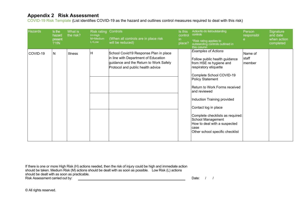### **Appendix 2 Risk Assessment**

COVID-19 Risk Template (List identifies COVID-19 as the hazard and outlines control measures required to deal with this risk)

| <b>Hazards</b><br>Risk rating Controls<br>Is this<br>Is the<br>What is<br>control<br>the risk?<br>H=High<br>hazard<br>(When all controls are in place risk<br>M=Medium<br>present<br>in.<br>L=Low<br>will be reduced)<br>place?<br>?Y/N | Action/to do list/outstanding<br>controls<br>*Risk rating applies to<br>outstanding controls outlined in<br>this column                                                                                                                                                                                                                                                                                             | Person<br>responsibl       | Signature<br>and date<br>when action<br>completed |
|-----------------------------------------------------------------------------------------------------------------------------------------------------------------------------------------------------------------------------------------|---------------------------------------------------------------------------------------------------------------------------------------------------------------------------------------------------------------------------------------------------------------------------------------------------------------------------------------------------------------------------------------------------------------------|----------------------------|---------------------------------------------------|
| School Covid19 Response Plan in place<br>ΙH<br>COVID-19<br>N<br><b>Illness</b><br>in line with Department of Education<br>guidance and the Return to Work Safely<br>Protocol and public health advice                                   | <b>Examples of Actions</b><br>Follow public health guidance<br>from HSE re hygiene and<br>respiratory etiquette<br>Complete School COVID-19<br><b>Policy Statement</b><br>Return to Work Forms received<br>and reviewed<br>Induction Training provided<br>Contact log in place<br>Complete checklists as required:<br>School Management<br>How to deal with a suspected<br>lcase<br>Other school specific checklist | Name of<br>staff<br>member |                                                   |

If there is one or more High Risk (H) actions needed, then the risk of injury could be high and immediate action should be taken. Medium Risk (M) actions should be dealt with as soon as possible. Low Risk (L) actions should be dealt with as soon as practicable.<br>Risk Assessment carried out by: Risk Assessment carried out by: Date: / /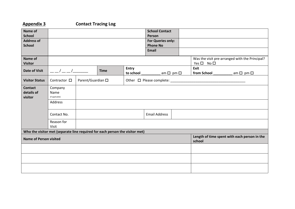### **Appendix 3 Contact Tracing Log**

| Name of<br><b>School</b><br><b>Address of</b> |                                                                              |  |             | <b>School Contact</b><br>Person<br>For Queries only: |                                 |                                              |                                                |
|-----------------------------------------------|------------------------------------------------------------------------------|--|-------------|------------------------------------------------------|---------------------------------|----------------------------------------------|------------------------------------------------|
| <b>School</b>                                 |                                                                              |  |             |                                                      | <b>Phone No</b><br><b>Email</b> |                                              |                                                |
| Name of<br><b>Visitor</b>                     |                                                                              |  |             |                                                      |                                 | $Yes \Box No \Box$                           | Was the visit pre-arranged with the Principal? |
| <b>Date of Visit</b>                          |                                                                              |  | <b>Time</b> | Entry<br>to school                                   | am $\square$ pm $\square$       | Exit<br>from School <b>School</b>            | am $\square$ pm $\square$                      |
| <b>Visitor Status</b>                         | Parent/Guardian □<br>Other $\Box$ Please complete: _<br>Contractor $\square$ |  |             |                                                      |                                 |                                              |                                                |
| <b>Contact</b><br>details of<br>visitor       | Company<br>Name<br>(if applicable)                                           |  |             |                                                      |                                 |                                              |                                                |
|                                               | Address                                                                      |  |             |                                                      |                                 |                                              |                                                |
|                                               | Contact No.                                                                  |  |             |                                                      | <b>Email Address</b>            |                                              |                                                |
|                                               | Reason for<br>Visit                                                          |  |             |                                                      |                                 |                                              |                                                |
|                                               | Who the visitor met (separate line required for each person the visitor met) |  |             |                                                      |                                 |                                              |                                                |
| <b>Name of Person visited</b>                 |                                                                              |  |             |                                                      | school                          | Length of time spent with each person in the |                                                |
|                                               |                                                                              |  |             |                                                      |                                 |                                              |                                                |
|                                               |                                                                              |  |             |                                                      |                                 |                                              |                                                |
|                                               |                                                                              |  |             |                                                      |                                 |                                              |                                                |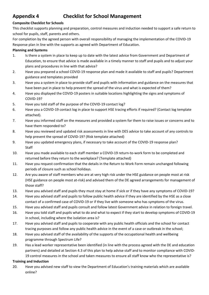## **Appendix 4 Checklist for School Management**

#### **Composite Checklist for Schools**

This checklist supports planning and preparation, control measures and induction needed to support a safe return to school for pupils, staff, parents and others.

For completion by the agreed person with overall responsibility of managing the implementation of the COVID-19 Response plan in line with the supports as agreed with Department of Education.

#### **Planning and Systems**

- 1. Is there a system in place to keep up to date with the latest advice from Government and Department of Education, to ensure that advice is made available in a timely manner to staff and pupils and to adjust your plans and procedures in line with that advice?
- 2. Have you prepared a school COVID-19 response plan and made it available to staff and pupils? Department guidance and templates provided
- 3. Have you a system in place to provide staff and pupils with information and guidance on the measures that have been put in place to help prevent the spread of the virus and what is expected of them?
- 4. Have you displayed the COVID-19 posters in suitable locations highlighting the signs and symptoms of COVID-19?
- 5. Have you told staff of the purpose of the COVID-19 contact log?
- 6. Have you a COVID-19 contact log in place to support HSE tracing efforts if required? (Contact log template attached).
- 7. Have you informed staff on the measures and provided a system for them to raise issues or concerns and to have them responded to?
- 8. Have you reviewed and updated risk assessments in line with DES advice to take account of any controls to help prevent the spread of COVID-19? (Risk template attached)
- 9. Have you updated emergency plans, if necessary to take account of the COVID-19 response plan? Staff
- 10. Have you made available to each staff member a COVID-19 return-to-work form to be completed and returned before they return to the workplace? (Template attached)
- 11. Have you request confirmation that the details in the Return to Work Form remain unchanged following periods of closure such as school holidays.
- 12. Are you aware of staff members who are at very high risk under the HSE guidance on people most at risk (HSE guidance on people most at-risk) and advised them of the DE agreed arrangements for management of those staff?
- 13. Have you advised staff and pupils they must stay at home if sick or if they have any symptoms of COVID-19?
- 14. Have you advised staff and pupils to follow public health advice if they are identified by the HSE as a close contact of a confirmed case of COVID-19 or if they live with someone who has symptoms of the virus.
- 15. Have you advised staff and pupils consult and follow latest Government advice in relation to foreign travel.
- 16. Have you told staff and pupils what to do and what to expect if they start to develop symptoms of COVID-19 in school, including where the isolation area is?
- 17. Have you advised staff and pupils to cooperate with any public health officials and the school for contact tracing purposes and follow any public health advice in the event of a case or outbreak in the school;
- 18. Have you advised staff of the availability of the supports of the occupational health and wellbeing programme through Spectrum Life?
- 19. Has a lead worker representative been identified (in line with the process agreed with the DE and education partners) and detailed at Section 4.3 of this plan to help advise staff and to monitor compliance with COVID-19 control measures in the school and taken measures to ensure all staff know who the representative is?

#### **Training and Induction**

20. Have you advised new staff to view the Department of Education's training materials which are available online?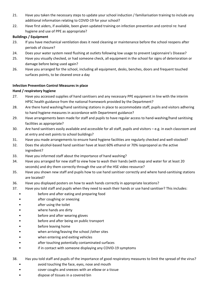- 21. Have you taken the necessary steps to update your school induction / familiarisation training to include any additional information relating to COVID-19 for your school?
- 22. Have first aiders, if available, been given updated training on infection prevention and control re: hand hygiene and use of PPE as appropriate?

#### **Buildings / Equipment**

- 23. If you have mechanical ventilation does it need cleaning or maintenance before the school reopens after periods of closure?
- 24. Does your water system need flushing at outlets following low usage to prevent Legionnaire's Disease?
- 25. Have you visually checked, or had someone check, all equipment in the school for signs of deterioration or damage before being used again?
- 26. Have you arranged for the school, including all equipment, desks, benches, doors and frequent touched surfaces points, to be cleaned once a day

#### **Infection Prevention Control Measures in place**

#### **Hand / respiratory hygiene**

- 27. Have you accessed supplies of hand sanitisers and any necessary PPE equipment in line with the interim HPSC health guidance from the national framework provided by the Department?
- 28. Are there hand washing/hand sanitising stations in place to accommodate staff, pupils and visitors adhering to hand hygiene measures in accordance with Department guidance?
- 29. Have arrangements been made for staff and pupils to have regular access to hand-washing/hand sanitising facilities as appropriate?
- 30. Are hand sanitisers easily available and accessible for all staff, pupils and visitors e.g. in each classroom and at entry and exit points to school buildings?
- 31. Have you made arrangements to ensure hand hygiene facilities are regularly checked and well-stocked?
- 32. Does the alcohol-based hand sanitiser have at least 60% ethanol or 70% isopropanol as the active ingredient?
- 33. Have you informed staff about the importance of hand washing?
- 34. Have you arranged for new staff to view how to wash their hands (with soap and water for at least 20 seconds) and dry them correctly through the use of the HSE video resource?
- 35. Have you shown new staff and pupils how to use hand sanitiser correctly and where hand-sanitising stations are located?
- 36. Have you displayed posters on how to wash hands correctly in appropriate locations?
- 37. Have you told staff and pupils when they need to wash their hands or use hand sanitiser? This includes:<br>
before and after eating and preparing food<br>
after coughing or sneezing<br>
after using the toilet
	-
	-
	-
	- where hands are dirty
	- before and after wearing gloves
	- before and after being on public transport
	- before leaving home
	- when arriving/leaving the school /other sites
	-
	- when entering and exiting vehicles<br>• after touching potentially contaminated surfaces
	- if in contact with someone displaying any COVID-19 symptoms
- 38. Has you told staff and pupils of the importance of good respiratory measures to limit the spread of the virus?<br>
avoid touching the face, eyes, nose and mouth<br>
cover coughs and sneezes with an elbow or a tissue<br>
d
	-
	-
	-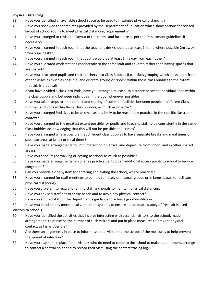#### **Physical Distancing:**

- 39. Have you identified all available school space to be used to maximise physical distancing?
- 40. Have you reviewed the templates provided by the Department of Education which show options for revised layout of school rooms to meet physical distancing requirements?
- 41. Have you arranged to revise the layout of the rooms and furniture as per the Department guidelines if necessary?
- 42. Have you arranged in each room that the teacher's desk should be at least 1m and where possible 2m away from pupil desks?
- 43. Have you arranged in each room that pupils would be at least 1m away from each other?
- 44. Have you allocated work stations consistently to the same staff and children rather than having spaces that are shared?
- 45. Have you structured pupils and their teachers into Class Bubbles (i.e. a class grouping which stays apart from other classes as much as possible) and discrete groups or "Pods" within those class bubbles to the extent that this is practical?
- 46. If you have divided a class into Pods, have you arranged at least 1m distance between individual Pods within the class bubble and between individuals in the pod, whenever possible?
- 47. Have you taken steps to limit contact and sharing of common facilities between people in different Class Bubbles (and Pods within those class bubbles) as much as possible?
- 48. Have you arranged Pod sizes to be as small as it is likely to be reasonably practical in the specific classroom context?
- 49. Have you arranged to the greatest extent possible for pupils and teaching staff to be consistently in the same Class Bubbles acknowledging that this will not be possible at all times?
- 50. Have you arranged where possible that different class bubbles to have separate breaks and meal times or separate areas at break or meal times?
- 51. Have you made arrangements to limit interaction on arrival and departure from school and in other shared areas?
- 52. Have you encouraged walking or cycling to school as much as possible?
- 53. Have you made arrangements, in so far as practicable, to open additional access points to school to reduce congestion?
- 54. Can you provide a one system for entering and exiting the school, where practical?
- 55. Have you arranged for staff meetings to be held remotely or in small groups or in large spaces to facilitate physical distancing?
- 56. Have you a system to regularly remind staff and pupils to maintain physical distancing
- 57. Have you advised staff not to shake hands and to avoid any physical contact?
- 58. Have you advised staff of the Department's guidance to achieve good ventilation
- 59. Have you checked any mechanical ventilation systems to ensure an adequate supply of fresh air is used

#### **Visitors to Schools**

- 60. Have you identified the activities that involve interacting with essential visitors to the school, made arrangements to minimise the number of such visitors and put in place measures to prevent physical contact, as far as possible?
- 61. Are there arrangements in place to inform essential visitors to the school of the measures to help prevent the spread of infection?
- 62. Have you a system in place for all visitors who do need to come to the school to make appointment, arrange to contact a central point and to record their visit using the contact tracing log?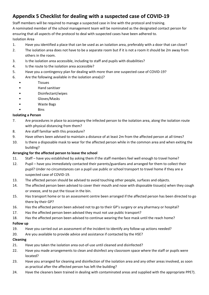# **Appendix 5 Checklist for dealing with a suspected case of COVID-19**

Staff members will be required to manage a suspected case in line with the protocol and training.

A nominated member of the school management team will be nominated as the designated contact person for ensuring that all aspects of the protocol to deal with suspected cases have been adhered to. Isolation Area

- 1. Have you identified a place that can be used as an isolation area, preferably with a door that can close?
- 2. The isolation area does not have to be a separate room but if it is not a room it should be 2m away from others in the room.
- 3. Is the isolation area accessible, including to staff and pupils with disabilities?
- 4. Is the route to the isolation area accessible?
- 5. Have you a contingency plan for dealing with more than one suspected case of COVID-19?
- 6. Are the following available in the isolation area(s)?
	- Tissues
	- Hand sanitiser
	- Disinfectant/wipes
	- Gloves/Masks
	- Waste Bags
	- Bins

#### **Isolating a Person**

- 7. Are procedures in place to accompany the infected person to the isolation area, along the isolation route with physical distancing from them?
- 8. Are staff familiar with this procedure?
- 9. Have others been advised to maintain a distance of at least 2m from the affected person at all times?
- 10. Is there a disposable mask to wear for the affected person while in the common area and when exiting the building?

#### **Arranging for the affected person to leave the school**

- 11. Staff have you established by asking them if the staff members feel well enough to travel home?
- 12. Pupil have you immediately contacted their parents/guardians and arranged for them to collect their pupil? Under no circumstances can a pupil use public or school transport to travel home if they are a suspected case of COVID-19.
- 13. The affected person should be advised to avoid touching other people, surfaces and objects.
- 14. The affected person been advised to cover their mouth and nose with disposable tissue(s) when they cough or sneeze, and to put the tissue in the bin.
- 15. Has transport home or to an assessment centre been arranged if the affected person has been directed to go there by their GP?
- 16. Has the affected person been advised not to go to their GP's surgery or any pharmacy or hospital?
- 17. Has the affected person been advised they must not use public transport?
- 18. Has the affected person been advised to continue wearing the face mask until the reach home?

### **Follow up**

- 19. Have you carried out an assessment of the incident to identify any follow-up actions needed?
- 20. Are you available to provide advice and assistance if contacted by the HSE?

### **Cleaning**

- 21. Have you taken the isolation area out-of-use until cleaned and disinfected?
- 22. Have you made arrangements to clean and disinfect any classroom space where the staff or pupils were located?
- 23. Have you arranged for cleaning and disinfection of the isolation area and any other areas involved, as soon as practical after the affected person has left the building?
- 24. Have the cleaners been trained in dealing with contaminated areas and supplied with the appropriate PPE?).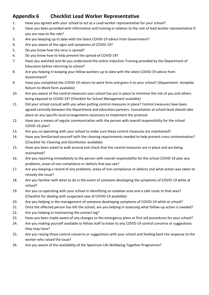# **Appendix 6 Checklist Lead Worker Representative**

- 1. Have you agreed with your school to act as a Lead worker representative for your school?
- 2. Have you been provided with information and training in relation to the role of lead worker representative if you are new to the role?
- 3. Are you keeping up to date with the latest COVID-19 advice from Government?
- 4. Are you aware of the signs and symptoms of COVID-19?
- 5. Do you know how the virus is spread?
- 6. Do you know how to help prevent the spread of COVID-19?
- 7. Have you watched and do you understand the online Induction Training provided by the Department of Education before returning to school?
- 8. Are you helping in keeping your fellow workers up to date with the latest COVID-19 advice from Government?
- 9. Have you completed the COVID-19 return-to-work form and given it to your school? (Department template Return-to-Work form available)
- 10. Are you aware of the control measures your school has put in place to minimise the risk of you and others being exposed to COVID-19? (Checklist for School Management available)
- 11. Did your school consult with you when putting control measures in place? Control measures have been agreed centrally between the Department and education partners. Consultation at school level should take place on any specific local arrangements necessary to implement the protocol
- 12. Have you a means of regular communication with the person with overall responsibility for the school COVID-19 plan?
- 13. Are you co-operating with your school to make sure these control measures are maintained?
- 14. Have you familiarised yourself with the cleaning requirements needed to help prevent cross contamination? (Checklist for Cleaning and Disinfection available)
- 15. Have you been asked to walk around and check that the control measures are in place and are being maintained?
- 16. Are you reporting immediately to the person with overall responsibility for the school COVID-19 plan any problems, areas of non-compliance or defects that you see?
- 17. Are you keeping a record of any problems, areas of non-compliance or defects and what action was taken to remedy the issue?
- 18. Are you familiar with what to do in the event of someone developing the symptoms of COVID-19 while at school?
- 19. Are you co-operating with your school in identifying an isolation area and a safe route to that area? (Checklist for dealing with suspected case of COVID-19 available)
- 20. Are you helping in the management of someone developing symptoms of COVID-19 while at school?
- 21. Once the affected person has left the school, are you helping in assessing what follow-up action is needed?
- 22. Are you helping in maintaining the contact log?
- 23. Have you been made aware of any changes to the emergency plans or first aid procedures for your school?
- 24. Are you making yourself available to fellow staff to listen to any COVID-19 control concerns or suggestions they may have?
- 25. Are you raising those control concerns or suggestions with your school and feeding back the response to the worker who raised the issue?
- 26. Are you aware of the availability of the Spectrum Life Wellbeing Together Programme?